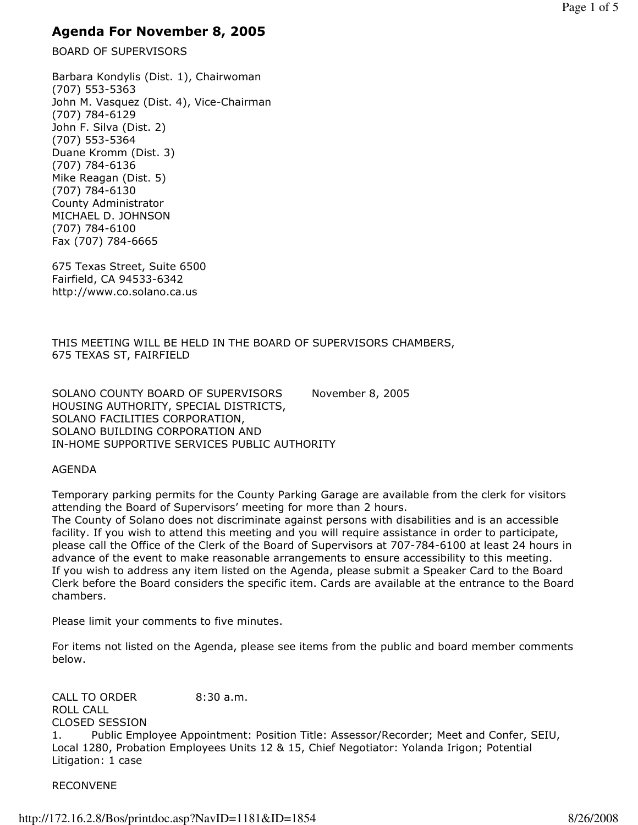# Agenda For November 8, 2005

BOARD OF SUPERVISORS

Barbara Kondylis (Dist. 1), Chairwoman (707) 553-5363 John M. Vasquez (Dist. 4), Vice-Chairman (707) 784-6129 John F. Silva (Dist. 2) (707) 553-5364 Duane Kromm (Dist. 3) (707) 784-6136 Mike Reagan (Dist. 5) (707) 784-6130 County Administrator MICHAEL D. JOHNSON (707) 784-6100 Fax (707) 784-6665

675 Texas Street, Suite 6500 Fairfield, CA 94533-6342 http://www.co.solano.ca.us

THIS MEETING WILL BE HELD IN THE BOARD OF SUPERVISORS CHAMBERS, 675 TEXAS ST, FAIRFIELD

SOLANO COUNTY BOARD OF SUPERVISORS November 8, 2005 HOUSING AUTHORITY, SPECIAL DISTRICTS, SOLANO FACILITIES CORPORATION, SOLANO BUILDING CORPORATION AND IN-HOME SUPPORTIVE SERVICES PUBLIC AUTHORITY

#### AGENDA

Temporary parking permits for the County Parking Garage are available from the clerk for visitors attending the Board of Supervisors' meeting for more than 2 hours.

The County of Solano does not discriminate against persons with disabilities and is an accessible facility. If you wish to attend this meeting and you will require assistance in order to participate, please call the Office of the Clerk of the Board of Supervisors at 707-784-6100 at least 24 hours in advance of the event to make reasonable arrangements to ensure accessibility to this meeting. If you wish to address any item listed on the Agenda, please submit a Speaker Card to the Board Clerk before the Board considers the specific item. Cards are available at the entrance to the Board chambers.

Please limit your comments to five minutes.

For items not listed on the Agenda, please see items from the public and board member comments below.

CALL TO ORDER 8:30 a.m. ROLL CALL CLOSED SESSION 1. Public Employee Appointment: Position Title: Assessor/Recorder; Meet and Confer, SEIU, Local 1280, Probation Employees Units 12 & 15, Chief Negotiator: Yolanda Irigon; Potential Litigation: 1 case

#### RECONVENE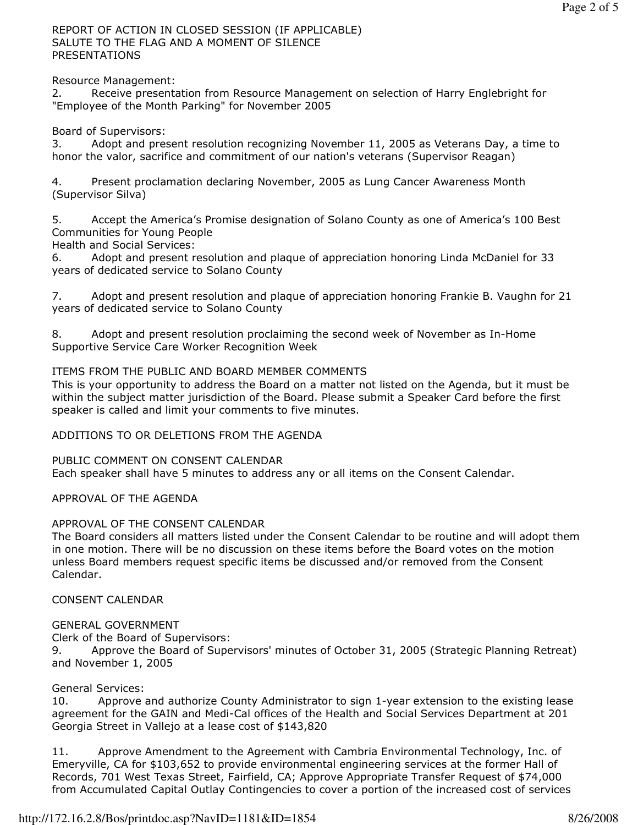REPORT OF ACTION IN CLOSED SESSION (IF APPLICABLE) SALUTE TO THE FLAG AND A MOMENT OF SILENCE PRESENTATIONS

Resource Management:

2. Receive presentation from Resource Management on selection of Harry Englebright for "Employee of the Month Parking" for November 2005

Board of Supervisors:

3. Adopt and present resolution recognizing November 11, 2005 as Veterans Day, a time to honor the valor, sacrifice and commitment of our nation's veterans (Supervisor Reagan)

4. Present proclamation declaring November, 2005 as Lung Cancer Awareness Month (Supervisor Silva)

5. Accept the America's Promise designation of Solano County as one of America's 100 Best Communities for Young People

Health and Social Services:

6. Adopt and present resolution and plaque of appreciation honoring Linda McDaniel for 33 years of dedicated service to Solano County

7. Adopt and present resolution and plaque of appreciation honoring Frankie B. Vaughn for 21 years of dedicated service to Solano County

8. Adopt and present resolution proclaiming the second week of November as In-Home Supportive Service Care Worker Recognition Week

# ITEMS FROM THE PUBLIC AND BOARD MEMBER COMMENTS

This is your opportunity to address the Board on a matter not listed on the Agenda, but it must be within the subject matter jurisdiction of the Board. Please submit a Speaker Card before the first speaker is called and limit your comments to five minutes.

ADDITIONS TO OR DELETIONS FROM THE AGENDA

PUBLIC COMMENT ON CONSENT CALENDAR Each speaker shall have 5 minutes to address any or all items on the Consent Calendar.

APPROVAL OF THE AGENDA

# APPROVAL OF THE CONSENT CALENDAR

The Board considers all matters listed under the Consent Calendar to be routine and will adopt them in one motion. There will be no discussion on these items before the Board votes on the motion unless Board members request specific items be discussed and/or removed from the Consent Calendar.

CONSENT CALENDAR

#### GENERAL GOVERNMENT

Clerk of the Board of Supervisors:

9. Approve the Board of Supervisors' minutes of October 31, 2005 (Strategic Planning Retreat) and November 1, 2005

# General Services:

10. Approve and authorize County Administrator to sign 1-year extension to the existing lease agreement for the GAIN and Medi-Cal offices of the Health and Social Services Department at 201 Georgia Street in Vallejo at a lease cost of \$143,820

11. Approve Amendment to the Agreement with Cambria Environmental Technology, Inc. of Emeryville, CA for \$103,652 to provide environmental engineering services at the former Hall of Records, 701 West Texas Street, Fairfield, CA; Approve Appropriate Transfer Request of \$74,000 from Accumulated Capital Outlay Contingencies to cover a portion of the increased cost of services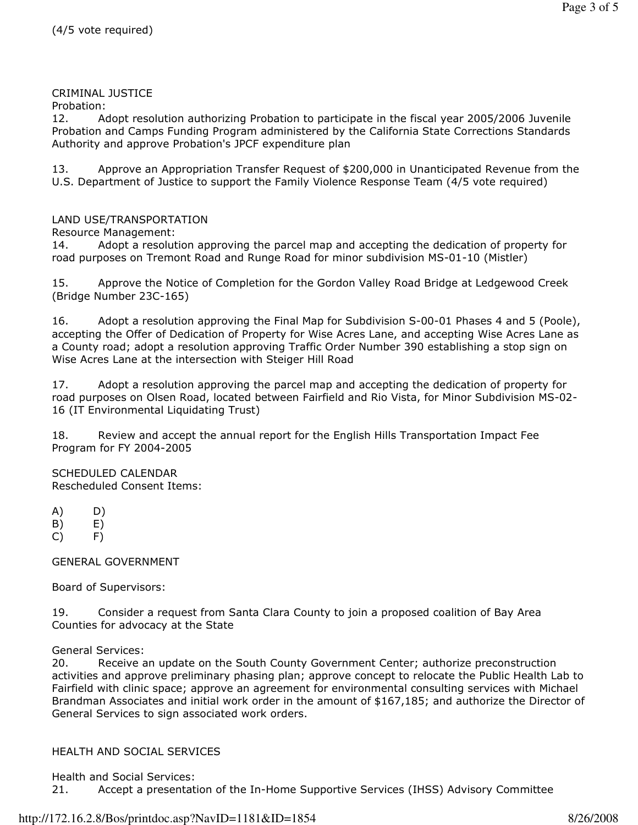## CRIMINAL JUSTICE

Probation:

12. Adopt resolution authorizing Probation to participate in the fiscal year 2005/2006 Juvenile Probation and Camps Funding Program administered by the California State Corrections Standards Authority and approve Probation's JPCF expenditure plan

13. Approve an Appropriation Transfer Request of \$200,000 in Unanticipated Revenue from the U.S. Department of Justice to support the Family Violence Response Team (4/5 vote required)

#### LAND USE/TRANSPORTATION

Resource Management:

14. Adopt a resolution approving the parcel map and accepting the dedication of property for road purposes on Tremont Road and Runge Road for minor subdivision MS-01-10 (Mistler)

15. Approve the Notice of Completion for the Gordon Valley Road Bridge at Ledgewood Creek (Bridge Number 23C-165)

16. Adopt a resolution approving the Final Map for Subdivision S-00-01 Phases 4 and 5 (Poole), accepting the Offer of Dedication of Property for Wise Acres Lane, and accepting Wise Acres Lane as a County road; adopt a resolution approving Traffic Order Number 390 establishing a stop sign on Wise Acres Lane at the intersection with Steiger Hill Road

17. Adopt a resolution approving the parcel map and accepting the dedication of property for road purposes on Olsen Road, located between Fairfield and Rio Vista, for Minor Subdivision MS-02- 16 (IT Environmental Liquidating Trust)

18. Review and accept the annual report for the English Hills Transportation Impact Fee Program for FY 2004-2005

SCHEDULED CALENDAR Rescheduled Consent Items:

- A) D)
- $(B)$   $E)$
- C) F)

GENERAL GOVERNMENT

Board of Supervisors:

19. Consider a request from Santa Clara County to join a proposed coalition of Bay Area Counties for advocacy at the State

General Services:

20. Receive an update on the South County Government Center; authorize preconstruction activities and approve preliminary phasing plan; approve concept to relocate the Public Health Lab to Fairfield with clinic space; approve an agreement for environmental consulting services with Michael Brandman Associates and initial work order in the amount of \$167,185; and authorize the Director of General Services to sign associated work orders.

# HEALTH AND SOCIAL SERVICES

Health and Social Services:

21. Accept a presentation of the In-Home Supportive Services (IHSS) Advisory Committee

#### http://172.16.2.8/Bos/printdoc.asp?NavID=1181&ID=1854 8/26/2008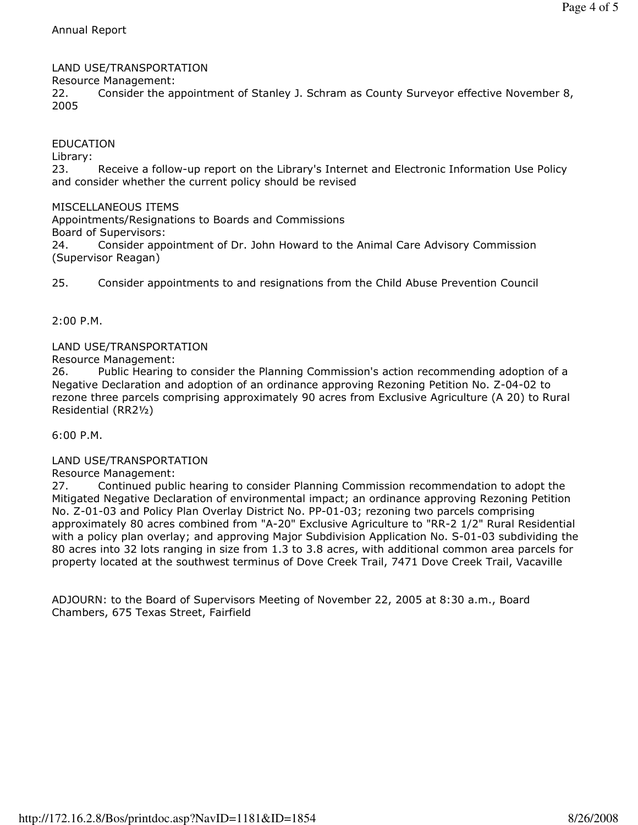# LAND USE/TRANSPORTATION

Resource Management:

22. Consider the appointment of Stanley J. Schram as County Surveyor effective November 8, 2005

# EDUCATION

Library:

23. Receive a follow-up report on the Library's Internet and Electronic Information Use Policy and consider whether the current policy should be revised

# MISCELLANEOUS ITEMS

Appointments/Resignations to Boards and Commissions Board of Supervisors: 24. Consider appointment of Dr. John Howard to the Animal Care Advisory Commission (Supervisor Reagan)

25. Consider appointments to and resignations from the Child Abuse Prevention Council

2:00 P.M.

#### LAND USE/TRANSPORTATION

Resource Management:

26. Public Hearing to consider the Planning Commission's action recommending adoption of a Negative Declaration and adoption of an ordinance approving Rezoning Petition No. Z-04-02 to rezone three parcels comprising approximately 90 acres from Exclusive Agriculture (A 20) to Rural Residential (RR2½)

6:00 P.M.

#### LAND USE/TRANSPORTATION

Resource Management:

27. Continued public hearing to consider Planning Commission recommendation to adopt the Mitigated Negative Declaration of environmental impact; an ordinance approving Rezoning Petition No. Z-01-03 and Policy Plan Overlay District No. PP-01-03; rezoning two parcels comprising approximately 80 acres combined from "A-20" Exclusive Agriculture to "RR-2 1/2" Rural Residential with a policy plan overlay; and approving Major Subdivision Application No. S-01-03 subdividing the 80 acres into 32 lots ranging in size from 1.3 to 3.8 acres, with additional common area parcels for property located at the southwest terminus of Dove Creek Trail, 7471 Dove Creek Trail, Vacaville

ADJOURN: to the Board of Supervisors Meeting of November 22, 2005 at 8:30 a.m., Board Chambers, 675 Texas Street, Fairfield